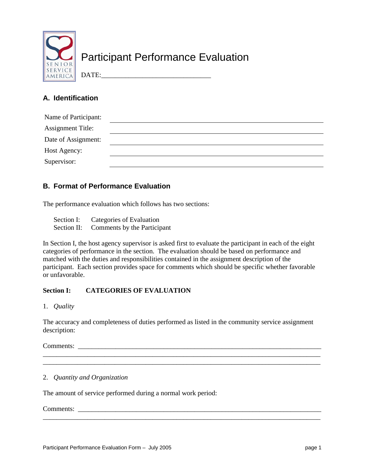

# Participant Performance Evaluation

# DATE:

# **A. Identification**

| Name of Participant:     |  |
|--------------------------|--|
| <b>Assignment Title:</b> |  |
| Date of Assignment:      |  |
| Host Agency:             |  |
| Supervisor:              |  |

# **B. Format of Performance Evaluation**

The performance evaluation which follows has two sections:

| Section I: | Categories of Evaluation                |
|------------|-----------------------------------------|
|            | Section II: Comments by the Participant |

In Section I, the host agency supervisor is asked first to evaluate the participant in each of the eight categories of performance in the section. The evaluation should be based on performance and matched with the duties and responsibilities contained in the assignment description of the participant. Each section provides space for comments which should be specific whether favorable or unfavorable.

# **Section I: CATEGORIES OF EVALUATION**

1. *Quality*

The accuracy and completeness of duties performed as listed in the community service assignment description:

\_\_\_\_\_\_\_\_\_\_\_\_\_\_\_\_\_\_\_\_\_\_\_\_\_\_\_\_\_\_\_\_\_\_\_\_\_\_\_\_\_\_\_\_\_\_\_\_\_\_\_\_\_\_\_\_\_\_\_\_\_\_\_\_\_\_\_\_\_\_\_\_\_\_\_\_\_\_\_\_\_ \_\_\_\_\_\_\_\_\_\_\_\_\_\_\_\_\_\_\_\_\_\_\_\_\_\_\_\_\_\_\_\_\_\_\_\_\_\_\_\_\_\_\_\_\_\_\_\_\_\_\_\_\_\_\_\_\_\_\_\_\_\_\_\_\_\_\_\_\_\_\_\_\_\_\_\_\_\_\_\_\_

\_\_\_\_\_\_\_\_\_\_\_\_\_\_\_\_\_\_\_\_\_\_\_\_\_\_\_\_\_\_\_\_\_\_\_\_\_\_\_\_\_\_\_\_\_\_\_\_\_\_\_\_\_\_\_\_\_\_\_\_\_\_\_\_\_\_\_\_\_\_\_\_\_\_\_\_\_\_\_\_\_

Comments: \_\_\_\_\_\_\_\_\_\_\_\_\_\_\_\_\_\_\_\_\_\_\_\_\_\_\_\_\_\_\_\_\_\_\_\_\_\_\_\_\_\_\_\_\_\_\_\_\_\_\_\_\_\_\_\_\_\_\_\_\_\_\_\_\_\_\_\_\_\_\_

## 2. *Quantity and Organization*

The amount of service performed during a normal work period:

Comments: \_\_\_\_\_\_\_\_\_\_\_\_\_\_\_\_\_\_\_\_\_\_\_\_\_\_\_\_\_\_\_\_\_\_\_\_\_\_\_\_\_\_\_\_\_\_\_\_\_\_\_\_\_\_\_\_\_\_\_\_\_\_\_\_\_\_\_\_\_\_\_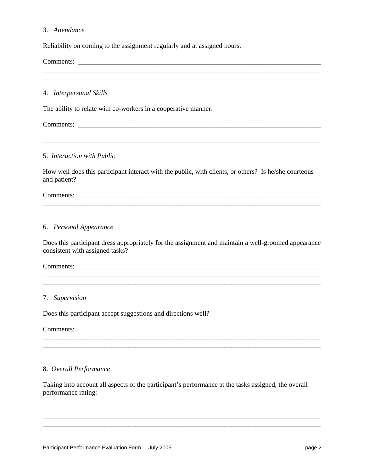#### 3. *Attendance*

Reliability on coming to the assignment regularly and at assigned hours:

Comments: \_\_\_\_\_\_\_\_\_\_\_\_\_\_\_\_\_\_\_\_\_\_\_\_\_\_\_\_\_\_\_\_\_\_\_\_\_\_\_\_\_\_\_\_\_\_\_\_\_\_\_\_\_\_\_\_\_\_\_\_\_\_\_\_\_\_\_\_\_\_\_

4. *Interpersonal Skills*

The ability to relate with co-workers in a cooperative manner:

Comments:

#### 5. *Interaction with Public*

How well does this participant interact with the public, with clients, or others? Is he/she courteous and patient?

\_\_\_\_\_\_\_\_\_\_\_\_\_\_\_\_\_\_\_\_\_\_\_\_\_\_\_\_\_\_\_\_\_\_\_\_\_\_\_\_\_\_\_\_\_\_\_\_\_\_\_\_\_\_\_\_\_\_\_\_\_\_\_\_\_\_\_\_\_\_\_\_\_\_\_\_\_\_\_\_\_ \_\_\_\_\_\_\_\_\_\_\_\_\_\_\_\_\_\_\_\_\_\_\_\_\_\_\_\_\_\_\_\_\_\_\_\_\_\_\_\_\_\_\_\_\_\_\_\_\_\_\_\_\_\_\_\_\_\_\_\_\_\_\_\_\_\_\_\_\_\_\_\_\_\_\_\_\_\_\_\_\_

\_\_\_\_\_\_\_\_\_\_\_\_\_\_\_\_\_\_\_\_\_\_\_\_\_\_\_\_\_\_\_\_\_\_\_\_\_\_\_\_\_\_\_\_\_\_\_\_\_\_\_\_\_\_\_\_\_\_\_\_\_\_\_\_\_\_\_\_\_\_\_\_\_\_\_\_\_\_\_\_\_

\_\_\_\_\_\_\_\_\_\_\_\_\_\_\_\_\_\_\_\_\_\_\_\_\_\_\_\_\_\_\_\_\_\_\_\_\_\_\_\_\_\_\_\_\_\_\_\_\_\_\_\_\_\_\_\_\_\_\_\_\_\_\_\_\_\_\_\_\_\_\_\_\_\_\_\_\_\_\_\_\_ \_\_\_\_\_\_\_\_\_\_\_\_\_\_\_\_\_\_\_\_\_\_\_\_\_\_\_\_\_\_\_\_\_\_\_\_\_\_\_\_\_\_\_\_\_\_\_\_\_\_\_\_\_\_\_\_\_\_\_\_\_\_\_\_\_\_\_\_\_\_\_\_\_\_\_\_\_\_\_\_\_

Comments: \_\_\_\_\_\_\_\_\_\_\_\_\_\_\_\_\_\_\_\_\_\_\_\_\_\_\_\_\_\_\_\_\_\_\_\_\_\_\_\_\_\_\_\_\_\_\_\_\_\_\_\_\_\_\_\_\_\_\_\_\_\_\_\_\_\_\_\_\_\_\_

#### 6. *Personal Appearance*

Does this participant dress appropriately for the assignment and maintain a well-groomed appearance consistent with assigned tasks?

#### Comments: \_\_\_\_\_\_\_\_\_\_\_\_\_\_\_\_\_\_\_\_\_\_\_\_\_\_\_\_\_\_\_\_\_\_\_\_\_\_\_\_\_\_\_\_\_\_\_\_\_\_\_\_\_\_\_\_\_\_\_\_\_\_\_\_\_\_\_\_\_\_\_\_\_\_\_\_\_\_\_\_\_

\_\_\_\_\_\_\_\_\_\_\_\_\_\_\_\_\_\_\_\_\_\_\_\_\_\_\_\_\_\_\_\_\_\_\_\_\_\_\_\_\_\_\_\_\_\_\_\_\_\_\_\_\_\_\_\_\_\_\_\_\_\_\_\_\_\_\_\_\_\_\_\_\_\_\_\_\_\_\_\_\_

\_\_\_\_\_\_\_\_\_\_\_\_\_\_\_\_\_\_\_\_\_\_\_\_\_\_\_\_\_\_\_\_\_\_\_\_\_\_\_\_\_\_\_\_\_\_\_\_\_\_\_\_\_\_\_\_\_\_\_\_\_\_\_\_\_\_\_\_\_\_\_\_\_\_\_\_\_\_\_\_\_ \_\_\_\_\_\_\_\_\_\_\_\_\_\_\_\_\_\_\_\_\_\_\_\_\_\_\_\_\_\_\_\_\_\_\_\_\_\_\_\_\_\_\_\_\_\_\_\_\_\_\_\_\_\_\_\_\_\_\_\_\_\_\_\_\_\_\_\_\_\_\_\_\_\_\_\_\_\_\_\_\_

#### 7. *Supervision*

Does this participant accept suggestions and directions well?

Comments: \_\_\_\_\_\_\_\_\_\_\_\_\_\_\_\_\_\_\_\_\_\_\_\_\_\_\_\_\_\_\_\_\_\_\_\_\_\_\_\_\_\_\_\_\_\_\_\_\_\_\_\_\_\_\_\_\_\_\_\_\_\_\_\_\_\_\_\_\_\_\_

#### 8. *Overall Performance*

Taking into account all aspects of the participant's performance at the tasks assigned, the overall performance rating:

\_\_\_\_\_\_\_\_\_\_\_\_\_\_\_\_\_\_\_\_\_\_\_\_\_\_\_\_\_\_\_\_\_\_\_\_\_\_\_\_\_\_\_\_\_\_\_\_\_\_\_\_\_\_\_\_\_\_\_\_\_\_\_\_\_\_\_\_\_\_\_\_\_\_\_\_\_\_\_\_\_ \_\_\_\_\_\_\_\_\_\_\_\_\_\_\_\_\_\_\_\_\_\_\_\_\_\_\_\_\_\_\_\_\_\_\_\_\_\_\_\_\_\_\_\_\_\_\_\_\_\_\_\_\_\_\_\_\_\_\_\_\_\_\_\_\_\_\_\_\_\_\_\_\_\_\_\_\_\_\_\_\_ \_\_\_\_\_\_\_\_\_\_\_\_\_\_\_\_\_\_\_\_\_\_\_\_\_\_\_\_\_\_\_\_\_\_\_\_\_\_\_\_\_\_\_\_\_\_\_\_\_\_\_\_\_\_\_\_\_\_\_\_\_\_\_\_\_\_\_\_\_\_\_\_\_\_\_\_\_\_\_\_\_